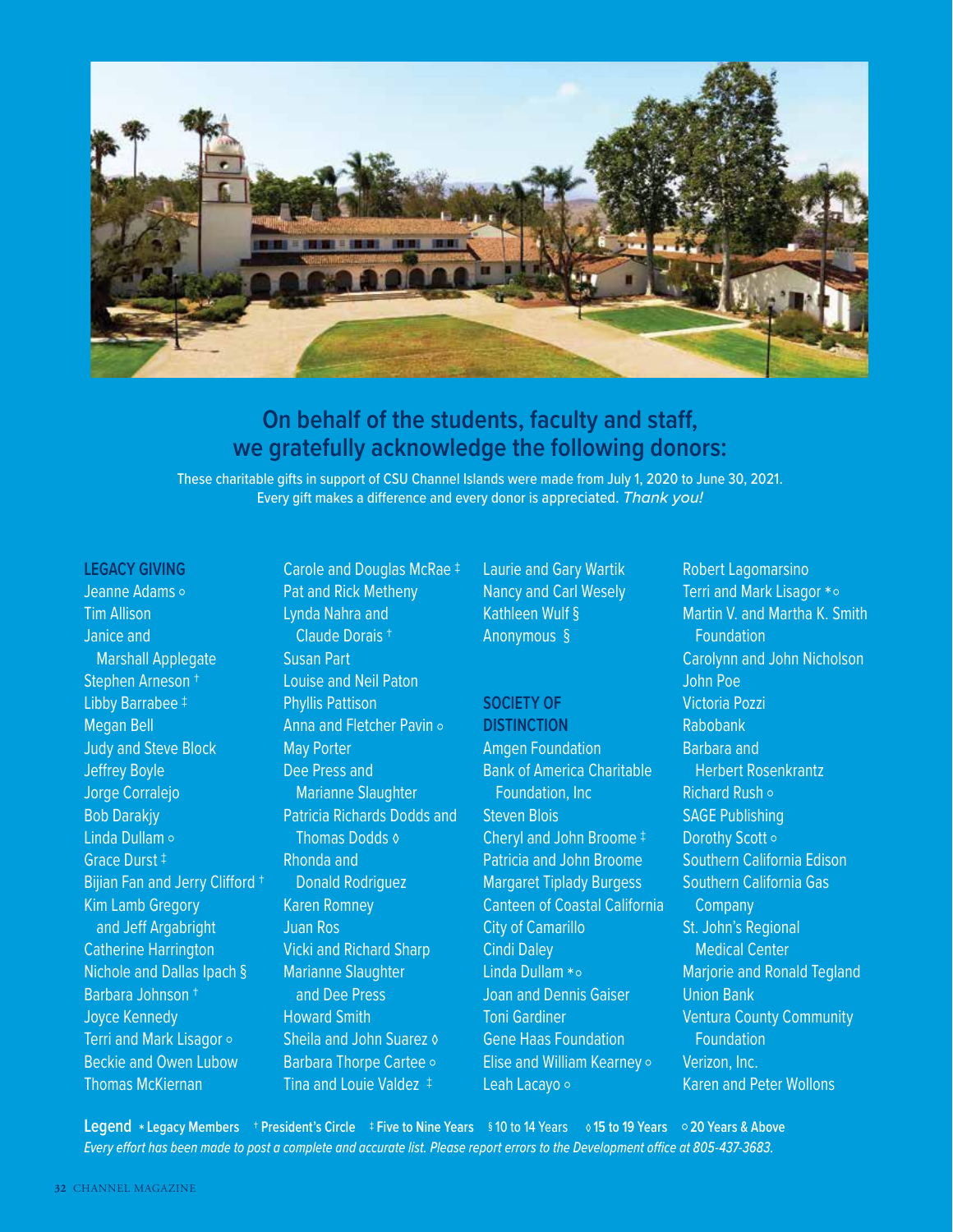

### **On behalf of the students, faculty and staff, we gratefully acknowledge the following donors:**

These charitable gifts in support of CSU Channel Islands were made from July 1, 2020 to June 30, 2021. Every gift makes a difference and every donor is appreciated. Thank you!

### **LEGACY GIVING**

Jeanne Adams ○ Tim Allison Janice and Marshall Applegate Stephen Arneson † Libby Barrabee ‡ Megan Bell Judy and Steve Block Jeffrey Boyle Jorge Corralejo Bob Darakjy Linda Dullam ○ Grace Durst ‡ Bijian Fan and Jerry Clifford † Kim Lamb Gregory and Jeff Argabright Catherine Harrington Nichole and Dallas Ipach § Barbara Johnson † Joyce Kennedy Terri and Mark Lisagor ○ Beckie and Owen Lubow Thomas McKiernan

Carole and Douglas McRae ‡ Pat and Rick Metheny Lynda Nahra and Claude Dorais † Susan Part Louise and Neil Paton Phyllis Pattison Anna and Fletcher Pavin ○ May Porter Dee Press and Marianne Slaughter Patricia Richards Dodds and Thomas Dodds ◊ Rhonda and Donald Rodriguez Karen Romney Juan Ros Vicki and Richard Sharp Marianne Slaughter and Dee Press Howard Smith Sheila and John Suarez & Barbara Thorpe Cartee ○ Tina and Louie Valdez ‡

Laurie and Gary Wartik Nancy and Carl Wesely Kathleen Wulf § Anonymous §

### **SOCIETY OF DISTINCTION**

Amgen Foundation Bank of America Charitable Foundation, Inc Steven Blois Cheryl and John Broome ‡ Patricia and John Broome Margaret Tiplady Burgess Canteen of Coastal California City of Camarillo Cindi Daley Linda Dullam \* o Joan and Dennis Gaiser Toni Gardiner Gene Haas Foundation Elise and William Kearney ○ Leah Lacayo ○

Robert Lagomarsino Terri and Mark Lisagor \* o Martin V. and Martha K. Smith Foundation Carolynn and John Nicholson John Poe Victoria Pozzi Rabobank Barbara and Herbert Rosenkrantz Richard Rush ○ SAGE Publishing Dorothy Scott o Southern California Edison Southern California Gas **Company** St. John's Regional Medical Center Marjorie and Ronald Tegland Union Bank Ventura County Community Foundation Verizon, Inc. Karen and Peter Wollons

**Legend** \* **Legacy Members** † **President's Circle** ‡ **Five to Nine Years** § 10 to 14 Years ◊ **15 to 19 Years** ○ **20 Years & Above** Every effort has been made to post a complete and accurate list. Please report errors to the Development office at 805-437-3683.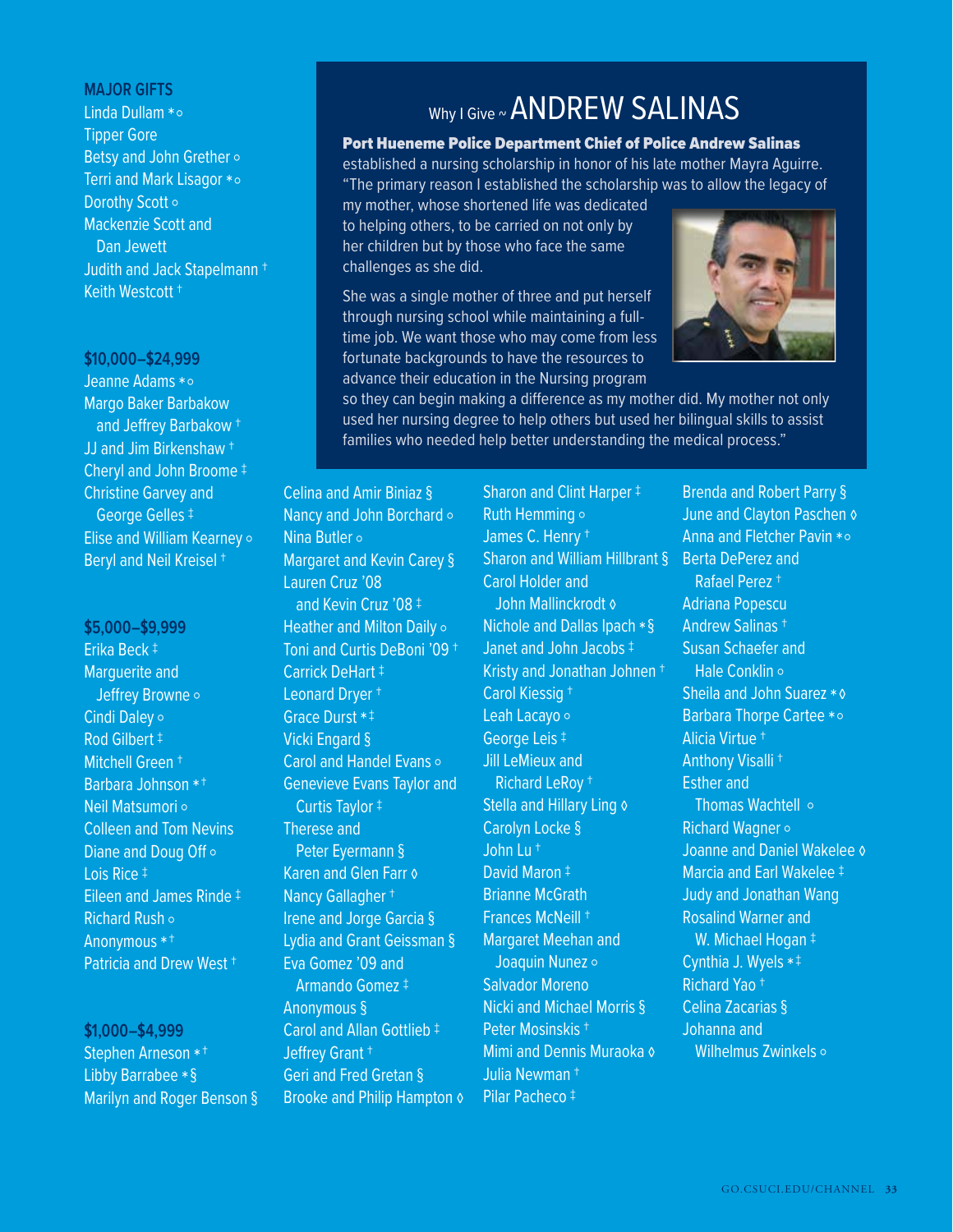### **MAJOR GIFTS**

Linda Dullam \* o Tipper Gore Betsy and John Grether ○ Terri and Mark Lisagor \* o Dorothy Scott ○ Mackenzie Scott and Dan Jewett Judith and Jack Stapelmann † Keith Westcott †

#### **\$10,000–\$24,999**

Jeanne Adams \* o Margo Baker Barbakow and Jeffrey Barbakow † JJ and Jim Birkenshaw † Cheryl and John Broome ‡ Christine Garvey and George Gelles ‡ Elise and William Kearney ○ Beryl and Neil Kreisel †

**\$5,000–\$9,999** Erika Beck ‡ Marguerite and Jeffrey Browne ○ Cindi Daley ○ Rod Gilbert ‡ Mitchell Green † Barbara Johnson \*† Neil Matsumori ○ Colleen and Tom Nevins Diane and Doug Off o Lois Rice ‡ Eileen and James Rinde ‡ Richard Rush ○ Anonymous \*† Patricia and Drew West †

**\$1,000–\$4,999** Stephen Arneson \*† Libby Barrabee \*§ Marilyn and Roger Benson §

## Why I Give ~ ANDREW SALINAS

### Port Hueneme Police Department Chief of Police Andrew Salinas

established a nursing scholarship in honor of his late mother Mayra Aguirre. "The primary reason I established the scholarship was to allow the legacy of

my mother, whose shortened life was dedicated to helping others, to be carried on not only by her children but by those who face the same challenges as she did.

She was a single mother of three and put herself through nursing school while maintaining a fulltime job. We want those who may come from less fortunate backgrounds to have the resources to advance their education in the Nursing program



so they can begin making a difference as my mother did. My mother not only used her nursing degree to help others but used her bilingual skills to assist families who needed help better understanding the medical process."

Celina and Amir Biniaz § Nancy and John Borchard ○ Nina Butler ○ Margaret and Kevin Carey § Lauren Cruz '08 and Kevin Cruz '08 ‡ Heather and Milton Daily of Toni and Curtis DeBoni '09 † Carrick DeHart ‡ Leonard Dryer † Grace Durst \*‡ Vicki Engard § Carol and Handel Evans · Genevieve Evans Taylor and Curtis Taylor ‡ Therese and Peter Eyermann § Karen and Glen Farr ◊ Nancy Gallagher † Irene and Jorge Garcia § Lydia and Grant Geissman § Eva Gomez '09 and Armando Gomez ‡ Anonymous § Carol and Allan Gottlieb ‡ Jeffrey Grant † Geri and Fred Gretan § Brooke and Philip Hampton & Sharon and Clint Harper ‡ Ruth Hemming ○ James C. Henry † Sharon and William Hillbrant § Carol Holder and John Mallinckrodt ◊ Nichole and Dallas Ipach \*§ Janet and John Jacobs ‡ Kristy and Jonathan Johnen † Carol Kiessig † Leah Lacayo ○ George Leis ‡ Jill LeMieux and Richard LeRoy † Stella and Hillary Ling & Carolyn Locke § John Lu † David Maron ‡ Brianne McGrath Frances McNeill † Margaret Meehan and Joaquin Nunez ○ Salvador Moreno Nicki and Michael Morris § Peter Mosinskis † Mimi and Dennis Muraoka ◊ Julia Newman † Pilar Pacheco ‡

Brenda and Robert Parry § June and Clayton Paschen & Anna and Fletcher Pavin  $* \circ$ Berta DePerez and Rafael Perez † Adriana Popescu Andrew Salinas † Susan Schaefer and Hale Conklin ∘ Sheila and John Suarez \* **0** Barbara Thorpe Cartee \* o Alicia Virtue † Anthony Visalli † Esther and Thomas Wachtell ○ Richard Wagner ○ Joanne and Daniel Wakelee ◊ Marcia and Earl Wakelee ‡ Judy and Jonathan Wang Rosalind Warner and W. Michael Hogan ‡ Cynthia J. Wyels \*‡ Richard Yao † Celina Zacarias § Johanna and Wilhelmus Zwinkels o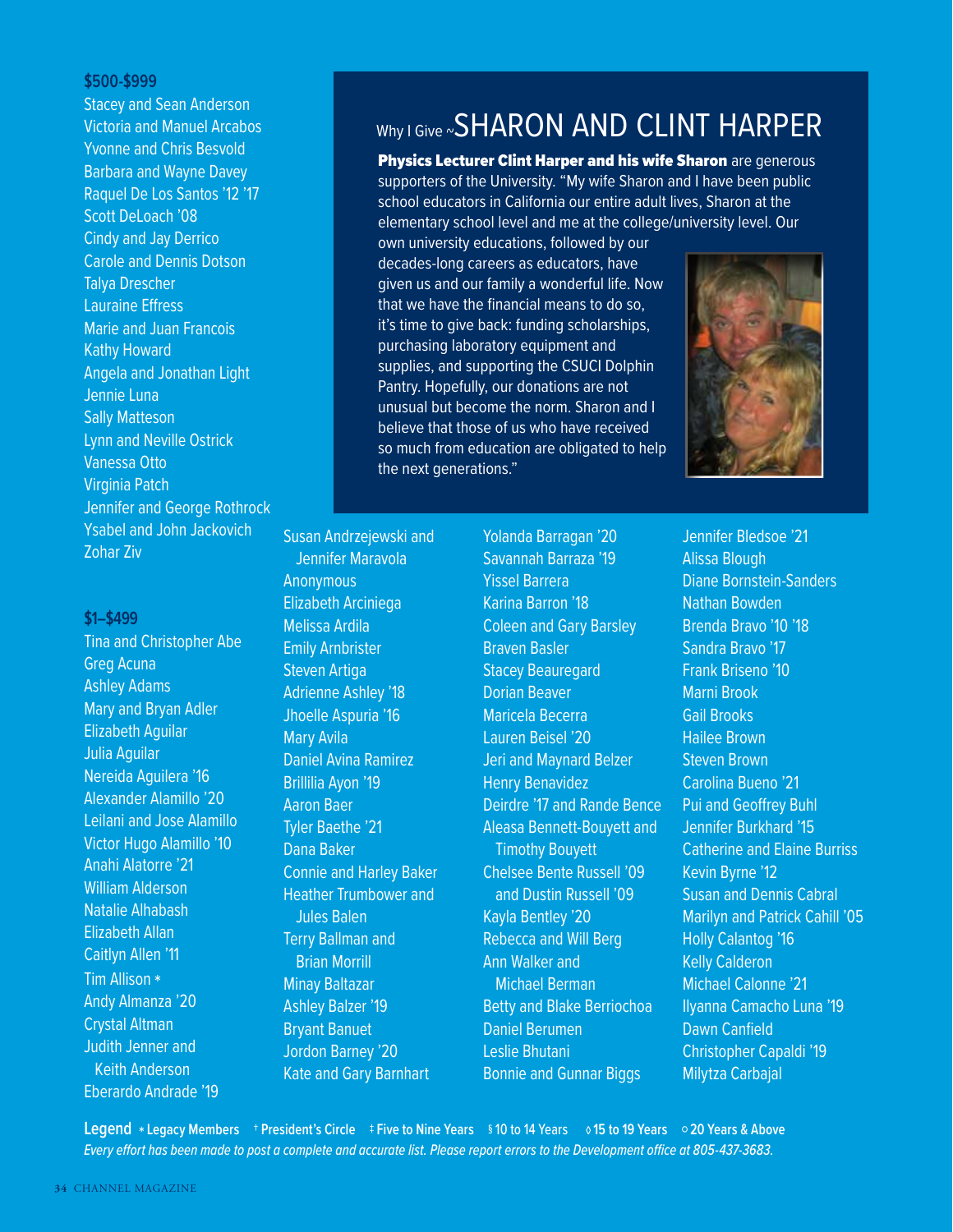### **\$500-\$999**

**Stacey and Sean Anderson** Victoria and Manuel Arcabos Yvonne and Chris Besvold Barbara and Wayne Davey Raquel De Los Santos '12 '17 Scott DeLoach '08 Cindy and Jay Derrico Carole and Dennis Dotson Talya Drescher Lauraine Effress Marie and Juan Francois Kathy Howard Angela and Jonathan Light Jennie Luna Sally Matteson Lynn and Neville Ostrick Vanessa Otto Virginia Patch Jennifer and George Rothrock Ysabel and John Jackovich Zohar Ziv

### **\$1–\$499**

Tina and Christopher Abe Greg Acuna Ashley Adams Mary and Bryan Adler Elizabeth Aguilar Julia Aguilar Nereida Aguilera '16 Alexander Alamillo '20 Leilani and Jose Alamillo Victor Hugo Alamillo '10 Anahi Alatorre '21 William Alderson Natalie Alhabash Elizabeth Allan Caitlyn Allen '11 Tim Allison \* Andy Almanza '20 Crystal Altman Judith Jenner and Keith Anderson Eberardo Andrade '19

# Why I Give ~ SHARON AND CLINT HARPER

**Physics Lecturer Clint Harper and his wife Sharon are generous** supporters of the University. "My wife Sharon and I have been public school educators in California our entire adult lives, Sharon at the elementary school level and me at the college/university level. Our

own university educations, followed by our decades-long careers as educators, have given us and our family a wonderful life. Now that we have the financial means to do so, it's time to give back: funding scholarships, purchasing laboratory equipment and supplies, and supporting the CSUCI Dolphin Pantry. Hopefully, our donations are not unusual but become the norm. Sharon and I believe that those of us who have received so much from education are obligated to help the next generations."



Susan Andrzejewski and Jennifer Maravola **Anonymous** Elizabeth Arciniega Melissa Ardila Emily Arnbrister Steven Artiga Adrienne Ashley '18 Jhoelle Aspuria '16 Mary Avila Daniel Avina Ramirez Brillilia Ayon '19 Aaron Baer Tyler Baethe '21 Dana Baker Connie and Harley Baker Heather Trumbower and Jules Balen Terry Ballman and Brian Morrill Minay Baltazar Ashley Balzer '19 Bryant Banuet Jordon Barney '20 Kate and Gary Barnhart

Yolanda Barragan '20 Savannah Barraza '19 Yissel Barrera Karina Barron '18 Coleen and Gary Barsley Braven Basler Stacey Beauregard Dorian Beaver Maricela Becerra Lauren Beisel '20 Jeri and Maynard Belzer Henry Benavidez Deirdre '17 and Rande Bence Aleasa Bennett-Bouyett and Timothy Bouyett Chelsee Bente Russell '09 and Dustin Russell '09 Kayla Bentley '20 Rebecca and Will Berg Ann Walker and Michael Berman Betty and Blake Berriochoa Daniel Berumen Leslie Bhutani Bonnie and Gunnar Biggs

Jennifer Bledsoe '21 Alissa Blough Diane Bornstein-Sanders Nathan Bowden Brenda Bravo '10 '18 Sandra Bravo '17 Frank Briseno '10 Marni Brook Gail Brooks Hailee Brown Steven Brown Carolina Bueno '21 Pui and Geoffrey Buhl Jennifer Burkhard '15 Catherine and Elaine Burriss Kevin Byrne '12 Susan and Dennis Cabral Marilyn and Patrick Cahill '05 Holly Calantog '16 Kelly Calderon Michael Calonne '21 Ilyanna Camacho Luna '19 Dawn Canfield Christopher Capaldi '19 Milytza Carbajal

**Legend** \* **Legacy Members** † **President's Circle** ‡ **Five to Nine Years** § 10 to 14 Years ◊ **15 to 19 Years** ○ **20 Years & Above** Every effort has been made to post a complete and accurate list. Please report errors to the Development office at 805-437-3683.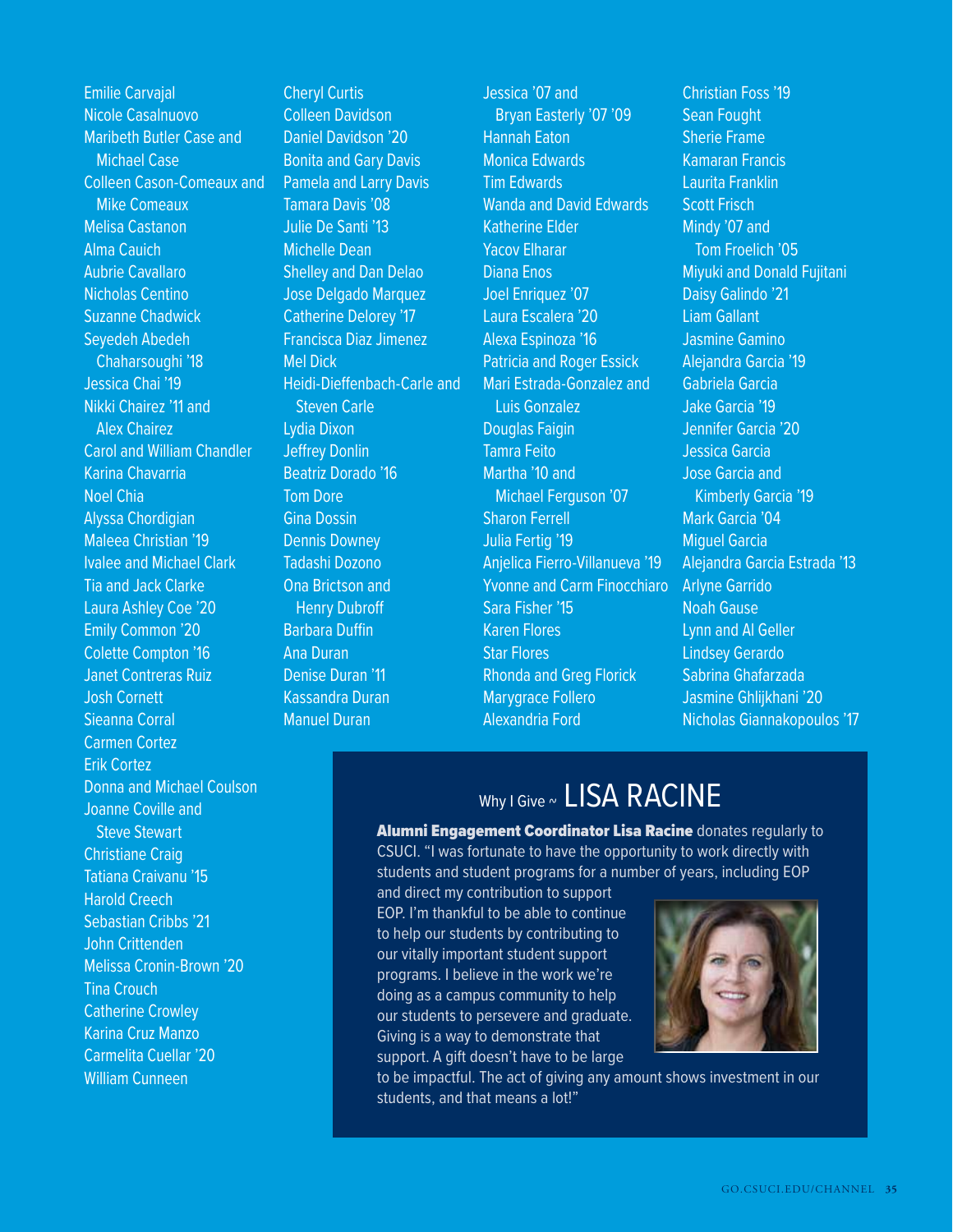Emilie Carvajal Nicole Casalnuovo Maribeth Butler Case and Michael Case Colleen Cason-Comeaux and Mike Comeaux Melisa Castanon Alma Cauich Aubrie Cavallaro Nicholas Centino Suzanne Chadwick Seyedeh Abedeh Chaharsoughi '18 Jessica Chai '19 Nikki Chairez '11 and Alex Chairez Carol and William Chandler Karina Chavarria Noel Chia Alyssa Chordigian Maleea Christian '19 Ivalee and Michael Clark Tia and Jack Clarke Laura Ashley Coe '20 Emily Common '20 Colette Compton '16 Janet Contreras Ruiz Josh Cornett Sieanna Corral Carmen Cortez Erik Cortez Donna and Michael Coulson Joanne Coville and Steve Stewart Christiane Craig Tatiana Craivanu '15 Harold Creech Sebastian Cribbs '21 John Crittenden Melissa Cronin-Brown '20 Tina Crouch Catherine Crowley Karina Cruz Manzo Carmelita Cuellar '20 William Cunneen

Cheryl Curtis Colleen Davidson Daniel Davidson '20 **Bonita and Gary Davis** Pamela and Larry Davis Tamara Davis '08 Julie De Santi '13 Michelle Dean Shelley and Dan Delao Jose Delgado Marquez Catherine Delorey '17 Francisca Diaz Jimenez Mel Dick Heidi-Dieffenbach-Carle and Steven Carle Lydia Dixon Jeffrey Donlin Beatriz Dorado '16 Tom Dore Gina Dossin Dennis Downey Tadashi Dozono Ona Brictson and Henry Dubroff Barbara Duffin Ana Duran Denise Duran '11 Kassandra Duran Manuel Duran

Jessica '07 and Bryan Easterly '07 '09 Hannah Eaton Monica Edwards Tim Edwards Wanda and David Edwards Katherine Elder Yacov Elharar Diana Enos Joel Enriquez '07 Laura Escalera '20 Alexa Espinoza '16 Patricia and Roger Essick Mari Estrada-Gonzalez and Luis Gonzalez Douglas Faigin Tamra Feito Martha '10 and Michael Ferguson '07 Sharon Ferrell Julia Fertig '19 Anjelica Fierro-Villanueva '19 Yvonne and Carm Finocchiaro Sara Fisher '15 Karen Flores Star Flores Rhonda and Greg Florick Marygrace Follero Alexandria Ford

Christian Foss '19 Sean Fought Sherie Frame Kamaran Francis Laurita Franklin Scott Frisch Mindy '07 and Tom Froelich '05 Miyuki and Donald Fujitani Daisy Galindo '21 Liam Gallant Jasmine Gamino Alejandra Garcia '19 Gabriela Garcia Jake Garcia '19 Jennifer Garcia '20 Jessica Garcia Jose Garcia and Kimberly Garcia '19 Mark Garcia '04 Miguel Garcia Alejandra Garcia Estrada '13 Arlyne Garrido Noah Gause Lynn and Al Geller Lindsey Gerardo Sabrina Ghafarzada Jasmine Ghlijkhani '20 Nicholas Giannakopoulos '17

# Why I Give ~ LISA RACINE

Alumni Engagement Coordinator Lisa Racine donates reqularly to CSUCI. "I was fortunate to have the opportunity to work directly with students and student programs for a number of years, including EOP

and direct my contribution to support EOP. I'm thankful to be able to continue to help our students by contributing to our vitally important student support programs. I believe in the work we're doing as a campus community to help our students to persevere and graduate. Giving is a way to demonstrate that support. A gift doesn't have to be large



to be impactful. The act of giving any amount shows investment in our students, and that means a lot!"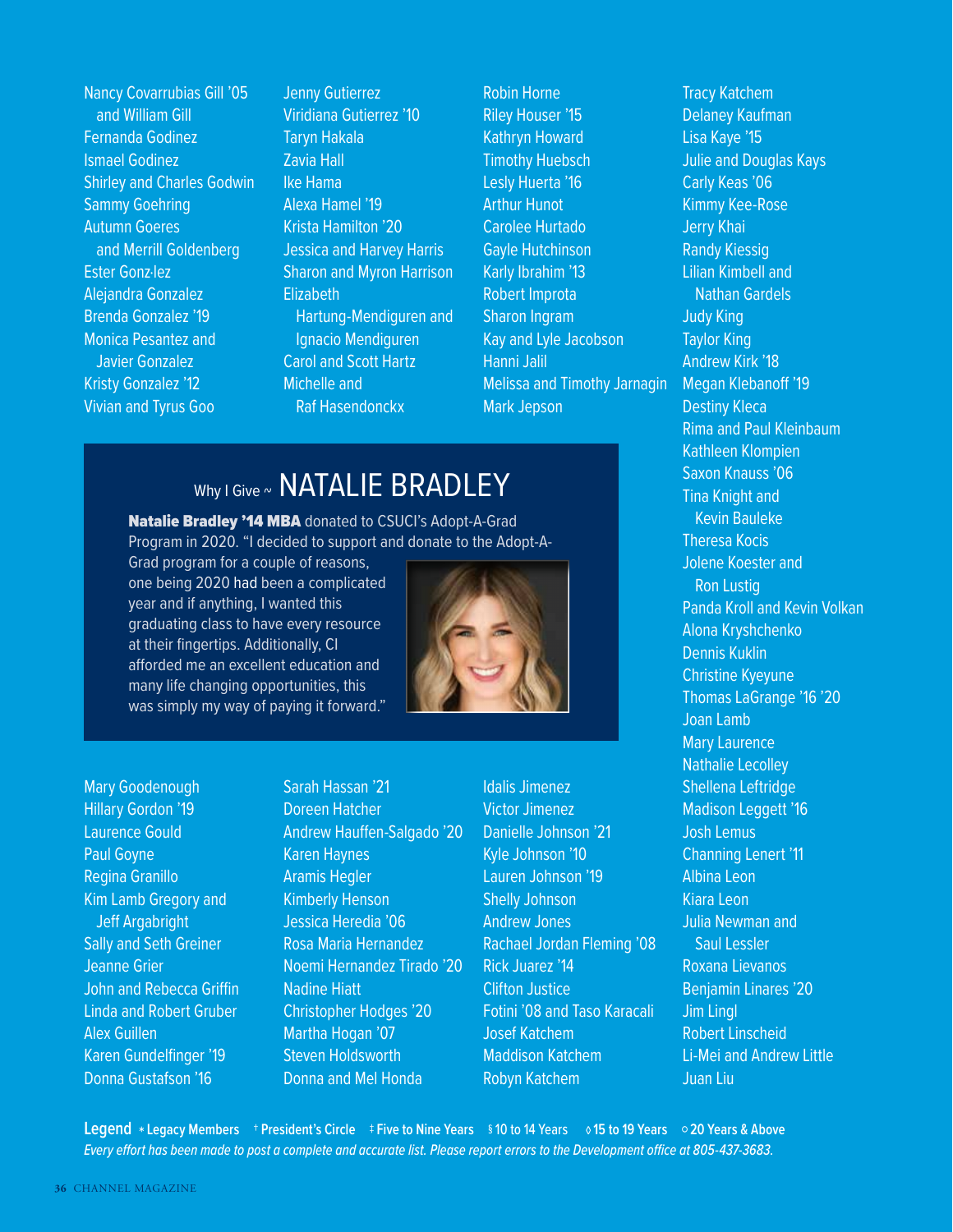Nancy Covarrubias Gill '05 and William Gill Fernanda Godinez Ismael Godinez Shirley and Charles Godwin Sammy Goehring Autumn Goeres and Merrill Goldenberg Ester Gonz·lez Alejandra Gonzalez Brenda Gonzalez '19 Monica Pesantez and Javier Gonzalez Kristy Gonzalez '12 Vivian and Tyrus Goo

Jenny Gutierrez Viridiana Gutierrez '10 Taryn Hakala Zavia Hall Ike Hama Alexa Hamel '19 Krista Hamilton '20 Jessica and Harvey Harris Sharon and Myron Harrison Elizabeth Hartung-Mendiguren and Ignacio Mendiguren Carol and Scott Hartz Michelle and Raf Hasendonckx

Robin Horne Riley Houser '15 Kathryn Howard Timothy Huebsch Lesly Huerta '16 Arthur Hunot Carolee Hurtado Gayle Hutchinson Karly Ibrahim '13 Robert Improta Sharon Ingram Kay and Lyle Jacobson Hanni Jalil Melissa and Timothy Jarnagin Mark Jepson

### Why I Give ~ NATALIE BRADLEY

### Natalie Bradley '14 MBA donated to CSUCI's Adopt-A-Grad Program in 2020. "I decided to support and donate to the Adopt-A-

Grad program for a couple of reasons, one being 2020 had been a complicated year and if anything, I wanted this graduating class to have every resource at their fingertips. Additionally, CI afforded me an excellent education and many life changing opportunities, this was simply my way of paying it forward."



Mary Goodenough Hillary Gordon '19 Laurence Gould Paul Goyne Regina Granillo Kim Lamb Gregory and Jeff Argabright Sally and Seth Greiner Jeanne Grier John and Rebecca Griffin Linda and Robert Gruber Alex Guillen Karen Gundelfinger '19 Donna Gustafson '16

Sarah Hassan '21 Doreen Hatcher Andrew Hauffen-Salgado '20 Karen Haynes Aramis Hegler Kimberly Henson Jessica Heredia '06 Rosa Maria Hernandez Noemi Hernandez Tirado '20 Nadine Hiatt Christopher Hodges '20 Martha Hogan '07 Steven Holdsworth Donna and Mel Honda

Idalis Jimenez Victor Jimenez Danielle Johnson '21 Kyle Johnson '10 Lauren Johnson '19 Shelly Johnson Andrew Jones Rachael Jordan Fleming '08 Rick Juarez '14 Clifton Justice Fotini '08 and Taso Karacali Josef Katchem Maddison Katchem Robyn Katchem

Tracy Katchem Delaney Kaufman Lisa Kaye '15 Julie and Douglas Kays Carly Keas '06 Kimmy Kee-Rose Jerry Khai Randy Kiessig Lilian Kimbell and Nathan Gardels Judy King Taylor King Andrew Kirk '18 Megan Klebanoff '19 Destiny Kleca Rima and Paul Kleinbaum Kathleen Klompien Saxon Knauss '06 Tina Knight and Kevin Bauleke Theresa Kocis Jolene Koester and Ron Lustig Panda Kroll and Kevin Volkan Alona Kryshchenko Dennis Kuklin Christine Kyeyune Thomas LaGrange '16 '20 Joan Lamb Mary Laurence Nathalie Lecolley Shellena Leftridge Madison Leggett '16 Josh Lemus Channing Lenert '11 Albina Leon Kiara Leon Julia Newman and Saul Lessler Roxana Lievanos Benjamin Linares '20 Jim Lingl Robert Linscheid Li-Mei and Andrew Little Juan Liu

**Legend** \* **Legacy Members** † **President's Circle** ‡ **Five to Nine Years** § 10 to 14 Years ◊ **15 to 19 Years** ○ **20 Years & Above** Every effort has been made to post a complete and accurate list. Please report errors to the Development office at 805-437-3683.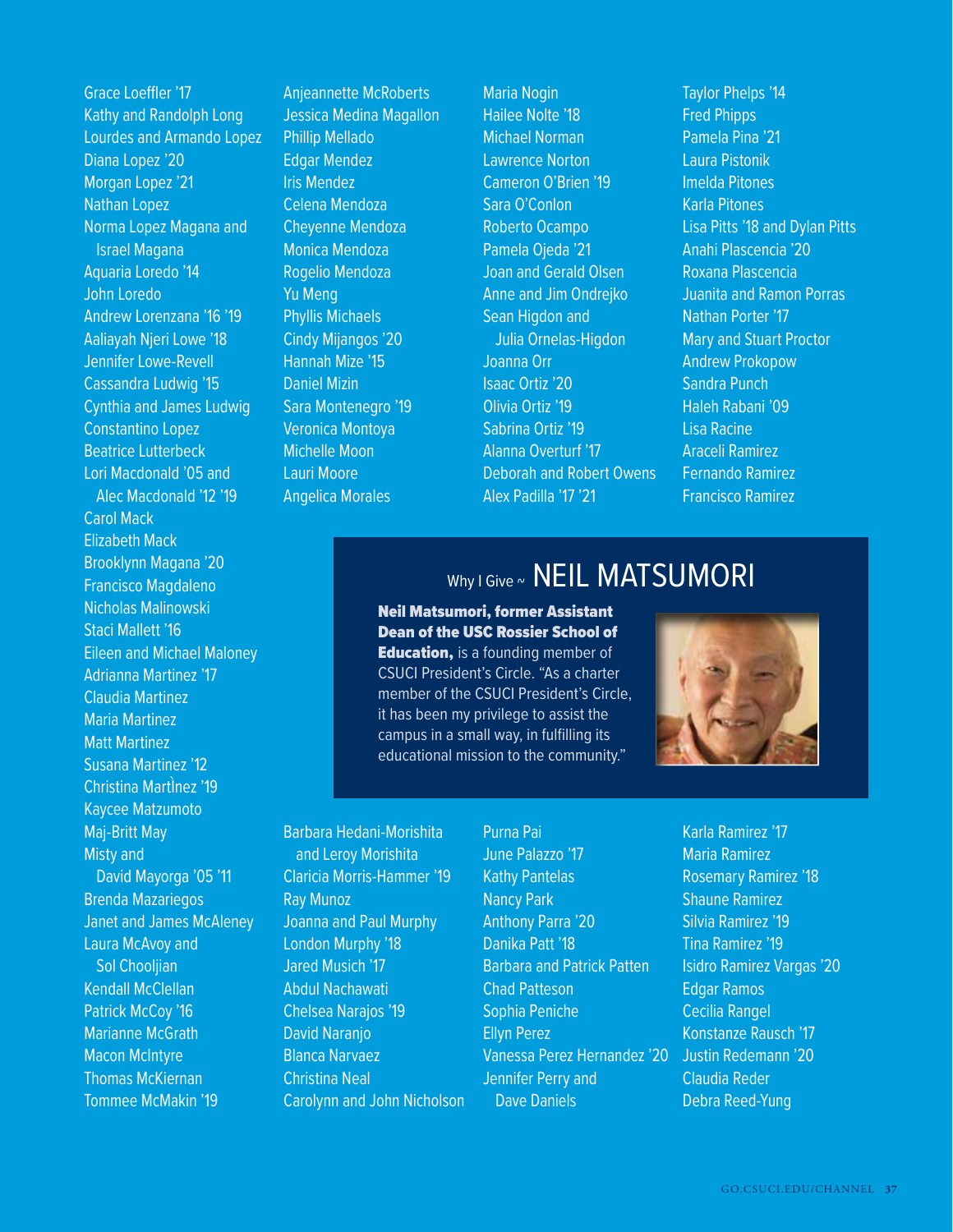Grace Loeffler '17 Kathy and Randolph Long Lourdes and Armando Lopez Diana Lopez '20 Morgan Lopez '21 Nathan Lopez Norma Lopez Magana and Israel Magana Aquaria Loredo '14 John Loredo Andrew Lorenzana '16 '19 Aaliayah Njeri Lowe '18 Jennifer Lowe-Revell Cassandra Ludwig '15 Cynthia and James Ludwig Constantino Lopez Beatrice Lutterbeck Lori Macdonald '05 and Alec Macdonald '12 '19 Carol Mack Elizabeth Mack Brooklynn Magana '20 Francisco Magdaleno Nicholas Malinowski Staci Mallett '16 Eileen and Michael Maloney Adrianna Martinez '17 Claudia Martinez Maria Martinez Matt Martinez Susana Martinez '12 Christina MartÌnez '19 Kaycee Matzumoto Maj-Britt May Misty and David Mayorga '05 '11 Brenda Mazariegos Janet and James McAleney Laura McAvoy and Sol Chooljian Kendall McClellan Patrick McCov '16 Marianne McGrath Macon McIntyre Thomas McKiernan Tommee McMakin '19

Anjeannette McRoberts Jessica Medina Magallon Phillip Mellado Edgar Mendez Iris Mendez Celena Mendoza Cheyenne Mendoza Monica Mendoza Rogelio Mendoza Yu Meng Phyllis Michaels Cindy Mijangos '20 Hannah Mize '15 Daniel Mizin Sara Montenegro '19 Veronica Montoya Michelle Moon Lauri Moore Angelica Morales

Maria Nogin Hailee Nolte '18 Michael Norman Lawrence Norton Cameron O'Brien '19 Sara O'Conlon Roberto Ocampo Pamela Ojeda '21 Joan and Gerald Olsen Anne and Jim Ondrejko Sean Higdon and Julia Ornelas-Higdon Joanna Orr Isaac Ortiz '20 Olivia Ortiz '19 Sabrina Ortiz '19 Alanna Overturf '17 Deborah and Robert Owens Alex Padilla '17 '21

Taylor Phelps '14 Fred Phipps Pamela Pina '21 Laura Pistonik Imelda Pitones Karla Pitones Lisa Pitts '18 and Dylan Pitts Anahi Plascencia '20 Roxana Plascencia Juanita and Ramon Porras Nathan Porter '17 Mary and Stuart Proctor Andrew Prokopow Sandra Punch Haleh Rabani '09 Lisa Racine Araceli Ramirez Fernando Ramirez Francisco Ramirez

# Why I Give ~ NEIL MATSUMORI

Neil Matsumori, former Assistant Dean of the USC Rossier School of **Education, is a founding member of** CSUCI President's Circle. "As a charter member of the CSUCI President's Circle, it has been my privilege to assist the campus in a small way, in fulfilling its educational mission to the community."

Purna Pai



Barbara Hedani-Morishita and Leroy Morishita Claricia Morris-Hammer '19 Ray Munoz Joanna and Paul Murphy London Murphy '18 Jared Musich '17 Abdul Nachawati Chelsea Narajos '19 David Naranjo Blanca Narvaez Christina Neal Carolynn and John Nicholson

June Palazzo '17 Kathy Pantelas Nancy Park Anthony Parra '20 Danika Patt '18 Barbara and Patrick Patten Chad Patteson Sophia Peniche Ellyn Perez Vanessa Perez Hernandez '20 Jennifer Perry and Dave Daniels

Karla Ramirez '17 Maria Ramirez Rosemary Ramirez '18 Shaune Ramirez Silvia Ramirez '19 Tina Ramirez '19 Isidro Ramirez Vargas '20 Edgar Ramos Cecilia Rangel Konstanze Rausch '17 Justin Redemann '20 Claudia Reder Debra Reed-Yung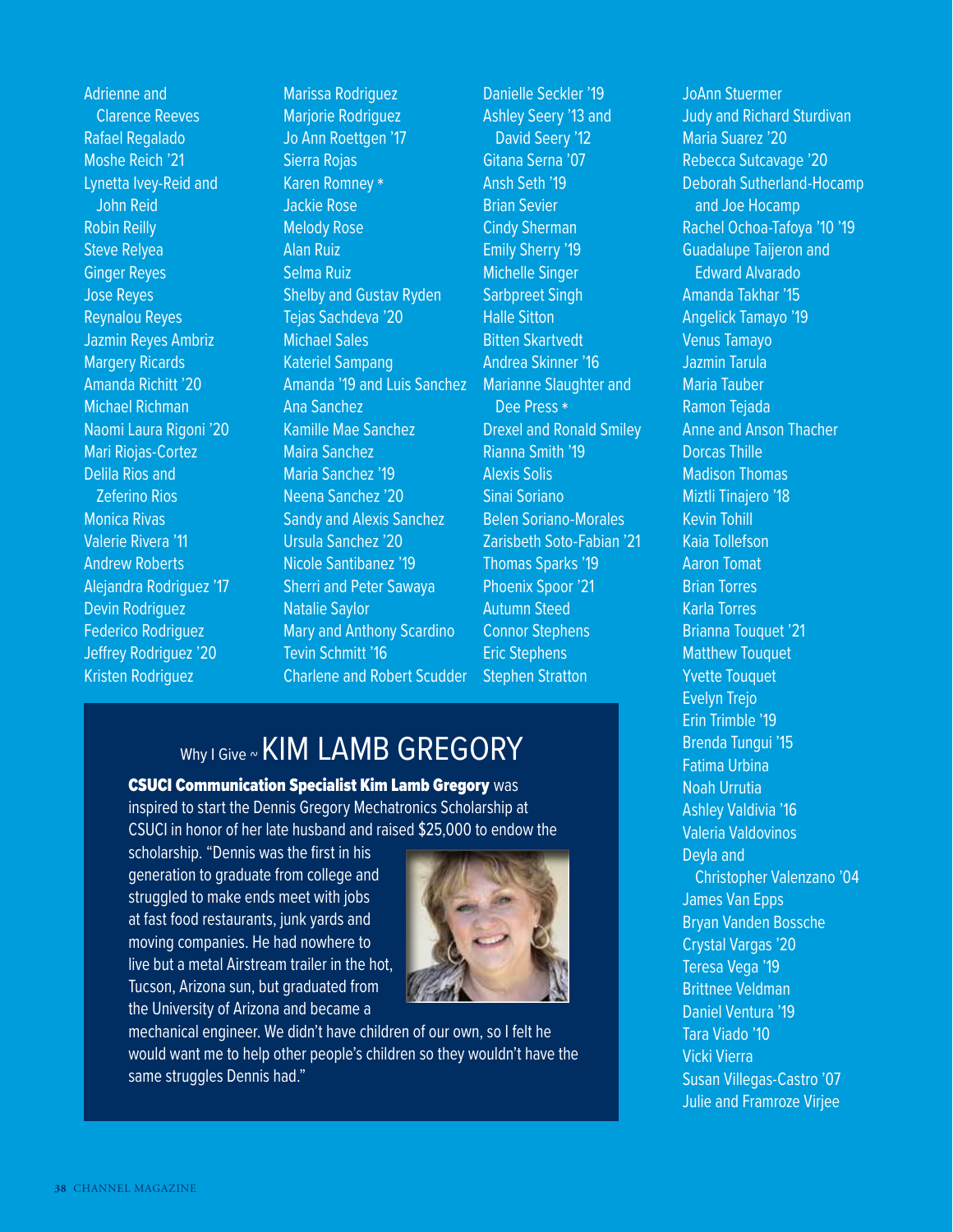Adrienne and Clarence Reeves Rafael Regalado Moshe Reich '21 Lynetta Ivey-Reid and John Reid Robin Reilly Steve Relyea Ginger Reyes Jose Reyes Reynalou Reyes Jazmin Reyes Ambriz Margery Ricards Amanda Richitt '20 Michael Richman Naomi Laura Rigoni '20 Mari Riojas-Cortez Delila Rios and Zeferino Rios Monica Rivas Valerie Rivera '11 Andrew Roberts Alejandra Rodriguez '17 Devin Rodriguez Federico Rodriguez Jeffrey Rodriguez '20 Kristen Rodriguez

Marissa Rodriguez Marjorie Rodriguez Jo Ann Roettgen '17 Sierra Rojas Karen Romney \* Jackie Rose Melody Rose Alan Ruiz Selma Ruiz Shelby and Gustav Ryden Tejas Sachdeva '20 Michael Sales Kateriel Sampang Amanda '19 and Luis Sanchez Ana Sanchez Kamille Mae Sanchez Maira Sanchez Maria Sanchez '19 Neena Sanchez '20 Sandy and Alexis Sanchez Ursula Sanchez '20 Nicole Santibanez '19 Sherri and Peter Sawaya Natalie Saylor Mary and Anthony Scardino Tevin Schmitt '16 Charlene and Robert Scudder

Danielle Seckler '19 Ashley Seery '13 and David Seery '12 Gitana Serna '07 Ansh Seth '19 Brian Sevier Cindy Sherman Emily Sherry '19 Michelle Singer Sarbpreet Singh Halle Sitton Bitten Skartvedt Andrea Skinner '16 Marianne Slaughter and Dee Press \* Drexel and Ronald Smiley Rianna Smith '19 Alexis Solis Sinai Soriano Belen Soriano-Morales Zarisbeth Soto-Fabian '21 Thomas Sparks '19 Phoenix Spoor '21 Autumn Steed Connor Stephens Eric Stephens Stephen Stratton

# Why I Give ~ KIM LAMB GREGORY

### CSUCI Communication Specialist Kim Lamb Gregory was

inspired to start the Dennis Gregory Mechatronics Scholarship at CSUCI in honor of her late husband and raised \$25,000 to endow the

scholarship. "Dennis was the first in his generation to graduate from college and struggled to make ends meet with jobs at fast food restaurants, junk yards and moving companies. He had nowhere to live but a metal Airstream trailer in the hot, Tucson, Arizona sun, but graduated from the University of Arizona and became a



mechanical engineer. We didn't have children of our own, so I felt he would want me to help other people's children so they wouldn't have the same struggles Dennis had."

JoAnn Stuermer Judy and Richard Sturdivan Maria Suarez '20 Rebecca Sutcavage '20 Deborah Sutherland-Hocamp and Joe Hocamp Rachel Ochoa-Tafoya '10 '19 Guadalupe Taijeron and Edward Alvarado Amanda Takhar '15 Angelick Tamayo '19 Venus Tamayo Jazmin Tarula Maria Tauber Ramon Tejada Anne and Anson Thacher Dorcas Thille Madison Thomas Miztli Tinajero '18 Kevin Tohill Kaia Tollefson Aaron Tomat Brian Torres Karla Torres Brianna Touquet '21 Matthew Touquet Yvette Touquet Evelyn Trejo Erin Trimble '19 Brenda Tungui '15 Fatima Urbina Noah Urrutia Ashley Valdivia '16 Valeria Valdovinos Deyla and Christopher Valenzano '04 James Van Epps Bryan Vanden Bossche Crystal Vargas '20 Teresa Vega '19 Brittnee Veldman Daniel Ventura '19 Tara Viado '10 Vicki Vierra Susan Villegas-Castro '07 Julie and Framroze Virjee